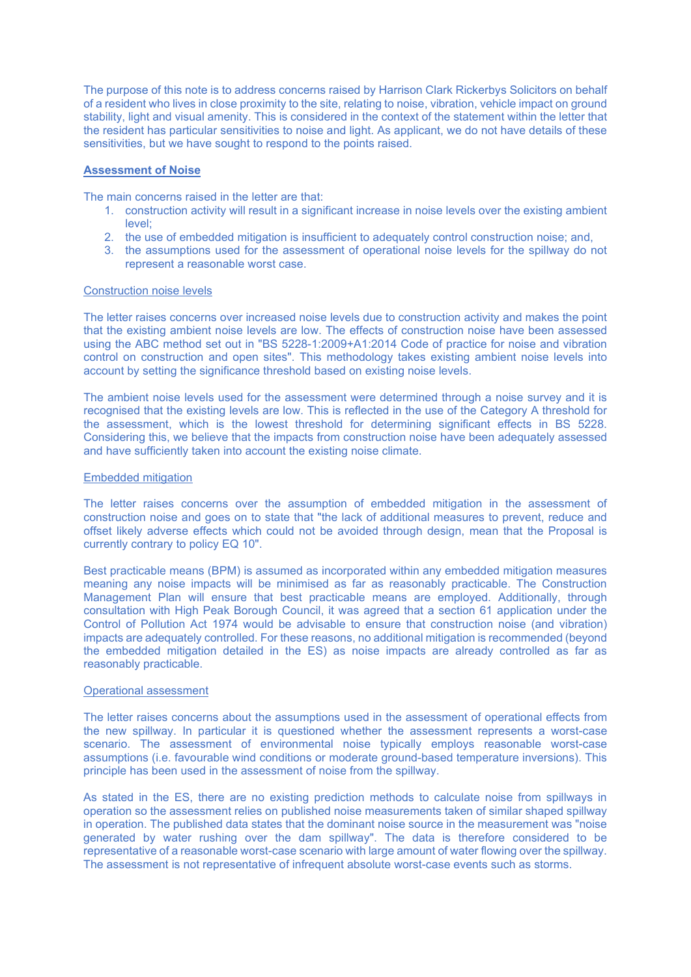The purpose of this note is to address concerns raised by Harrison Clark Rickerbys Solicitors on behalf of a resident who lives in close proximity to the site, relating to noise, vibration, vehicle impact on ground stability, light and visual amenity. This is considered in the context of the statement within the letter that the resident has particular sensitivities to noise and light. As applicant, we do not have details of these sensitivities, but we have sought to respond to the points raised.

### **Assessment of Noise**

The main concerns raised in the letter are that:

- 1. construction activity will result in a significant increase in noise levels over the existing ambient level;
- 2. the use of embedded mitigation is insufficient to adequately control construction noise; and,
- 3. the assumptions used for the assessment of operational noise levels for the spillway do not represent a reasonable worst case.

## Construction noise levels

The letter raises concerns over increased noise levels due to construction activity and makes the point that the existing ambient noise levels are low. The effects of construction noise have been assessed using the ABC method set out in "BS 5228-1:2009+A1:2014 Code of practice for noise and vibration control on construction and open sites". This methodology takes existing ambient noise levels into account by setting the significance threshold based on existing noise levels.

The ambient noise levels used for the assessment were determined through a noise survey and it is recognised that the existing levels are low. This is reflected in the use of the Category A threshold for the assessment, which is the lowest threshold for determining significant effects in BS 5228. Considering this, we believe that the impacts from construction noise have been adequately assessed and have sufficiently taken into account the existing noise climate.

### Embedded mitigation

The letter raises concerns over the assumption of embedded mitigation in the assessment of construction noise and goes on to state that "the lack of additional measures to prevent, reduce and offset likely adverse effects which could not be avoided through design, mean that the Proposal is currently contrary to policy EQ 10".

Best practicable means (BPM) is assumed as incorporated within any embedded mitigation measures meaning any noise impacts will be minimised as far as reasonably practicable. The Construction Management Plan will ensure that best practicable means are employed. Additionally, through consultation with High Peak Borough Council, it was agreed that a section 61 application under the Control of Pollution Act 1974 would be advisable to ensure that construction noise (and vibration) impacts are adequately controlled. For these reasons, no additional mitigation is recommended (beyond the embedded mitigation detailed in the ES) as noise impacts are already controlled as far as reasonably practicable.

#### Operational assessment

The letter raises concerns about the assumptions used in the assessment of operational effects from the new spillway. In particular it is questioned whether the assessment represents a worst-case scenario. The assessment of environmental noise typically employs reasonable worst-case assumptions (i.e. favourable wind conditions or moderate ground-based temperature inversions). This principle has been used in the assessment of noise from the spillway.

As stated in the ES, there are no existing prediction methods to calculate noise from spillways in operation so the assessment relies on published noise measurements taken of similar shaped spillway in operation. The published data states that the dominant noise source in the measurement was "noise generated by water rushing over the dam spillway". The data is therefore considered to be representative of a reasonable worst-case scenario with large amount of water flowing over the spillway. The assessment is not representative of infrequent absolute worst-case events such as storms.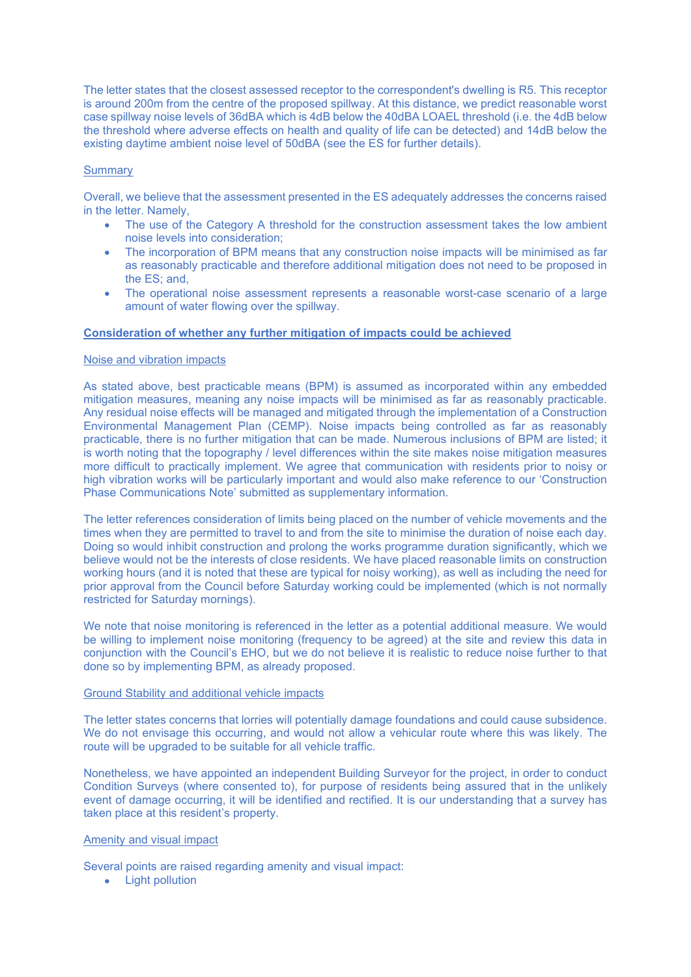The letter states that the closest assessed receptor to the correspondent's dwelling is R5. This receptor is around 200m from the centre of the proposed spillway. At this distance, we predict reasonable worst case spillway noise levels of 36dBA which is 4dB below the 40dBA LOAEL threshold (i.e. the 4dB below the threshold where adverse effects on health and quality of life can be detected) and 14dB below the existing daytime ambient noise level of 50dBA (see the ES for further details).

## **Summary**

Overall, we believe that the assessment presented in the ES adequately addresses the concerns raised in the letter. Namely,

- The use of the Category A threshold for the construction assessment takes the low ambient noise levels into consideration;
- The incorporation of BPM means that any construction noise impacts will be minimised as far as reasonably practicable and therefore additional mitigation does not need to be proposed in the ES; and,
- The operational noise assessment represents a reasonable worst-case scenario of a large amount of water flowing over the spillway.

# **Consideration of whether any further mitigation of impacts could be achieved**

### Noise and vibration impacts

As stated above, best practicable means (BPM) is assumed as incorporated within any embedded mitigation measures, meaning any noise impacts will be minimised as far as reasonably practicable. Any residual noise effects will be managed and mitigated through the implementation of a Construction Environmental Management Plan (CEMP). Noise impacts being controlled as far as reasonably practicable, there is no further mitigation that can be made. Numerous inclusions of BPM are listed; it is worth noting that the topography / level differences within the site makes noise mitigation measures more difficult to practically implement. We agree that communication with residents prior to noisy or high vibration works will be particularly important and would also make reference to our 'Construction Phase Communications Note' submitted as supplementary information.

The letter references consideration of limits being placed on the number of vehicle movements and the times when they are permitted to travel to and from the site to minimise the duration of noise each day. Doing so would inhibit construction and prolong the works programme duration significantly, which we believe would not be the interests of close residents. We have placed reasonable limits on construction working hours (and it is noted that these are typical for noisy working), as well as including the need for prior approval from the Council before Saturday working could be implemented (which is not normally restricted for Saturday mornings).

We note that noise monitoring is referenced in the letter as a potential additional measure. We would be willing to implement noise monitoring (frequency to be agreed) at the site and review this data in conjunction with the Council's EHO, but we do not believe it is realistic to reduce noise further to that done so by implementing BPM, as already proposed.

# Ground Stability and additional vehicle impacts

The letter states concerns that lorries will potentially damage foundations and could cause subsidence. We do not envisage this occurring, and would not allow a vehicular route where this was likely. The route will be upgraded to be suitable for all vehicle traffic.

Nonetheless, we have appointed an independent Building Surveyor for the project, in order to conduct Condition Surveys (where consented to), for purpose of residents being assured that in the unlikely event of damage occurring, it will be identified and rectified. It is our understanding that a survey has taken place at this resident's property.

## Amenity and visual impact

Several points are raised regarding amenity and visual impact:

• Light pollution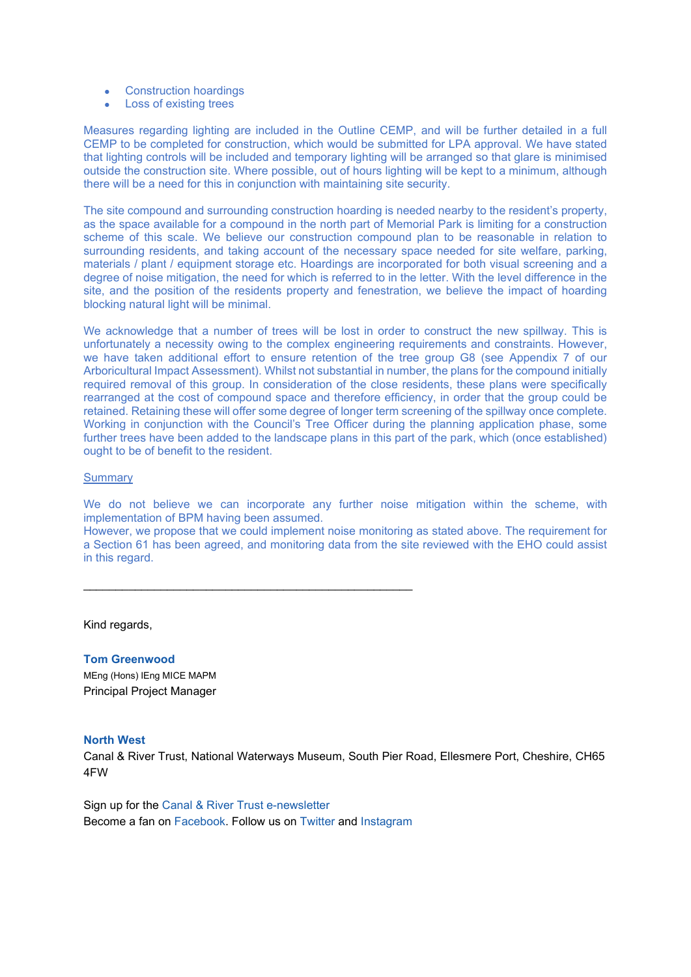- Construction hoardings
- Loss of existing trees

Measures regarding lighting are included in the Outline CEMP, and will be further detailed in a full CEMP to be completed for construction, which would be submitted for LPA approval. We have stated that lighting controls will be included and temporary lighting will be arranged so that glare is minimised outside the construction site. Where possible, out of hours lighting will be kept to a minimum, although there will be a need for this in conjunction with maintaining site security.

The site compound and surrounding construction hoarding is needed nearby to the resident's property, as the space available for a compound in the north part of Memorial Park is limiting for a construction scheme of this scale. We believe our construction compound plan to be reasonable in relation to surrounding residents, and taking account of the necessary space needed for site welfare, parking, materials / plant / equipment storage etc. Hoardings are incorporated for both visual screening and a degree of noise mitigation, the need for which is referred to in the letter. With the level difference in the site, and the position of the residents property and fenestration, we believe the impact of hoarding blocking natural light will be minimal.

We acknowledge that a number of trees will be lost in order to construct the new spillway. This is unfortunately a necessity owing to the complex engineering requirements and constraints. However, we have taken additional effort to ensure retention of the tree group G8 (see Appendix 7 of our Arboricultural Impact Assessment). Whilst not substantial in number, the plans for the compound initially required removal of this group. In consideration of the close residents, these plans were specifically rearranged at the cost of compound space and therefore efficiency, in order that the group could be retained. Retaining these will offer some degree of longer term screening of the spillway once complete. Working in conjunction with the Council's Tree Officer during the planning application phase, some further trees have been added to the landscape plans in this part of the park, which (once established) ought to be of benefit to the resident.

### **Summary**

We do not believe we can incorporate any further noise mitigation within the scheme, with implementation of BPM having been assumed.

However, we propose that we could implement noise monitoring as stated above. The requirement for a Section 61 has been agreed, and monitoring data from the site reviewed with the EHO could assist in this regard.

Kind regards,

**Tom Greenwood** MEng (Hons) IEng MICE MAPM Principal Project Manager

## **North West**

Canal & River Trust, National Waterways Museum, South Pier Road, Ellesmere Port, Cheshire, CH65 4FW

Sign up for the [Canal & River Trust e-newsletter](https://url6.mailanyone.net/v1/?m=1nFxM4-0005oN-5z&i=57e1b682&c=VVjrYFmHn0DwZ-JIquqsFaiO9MbgCKVbToZGUB-nYizWynKqAgEJ_wYf-vmXCna9Zk3pQmpL7cCPs0n8HqSsWZCNJ3QYHu5mMCxr95_0cp1IdNOxnMpCAy2qIfKa4mWjGmkNgWDt9pxD6-KKpgBOSwXC7tiQ98hZU3Ac18HPHiIIiJC5p0lXBKzWeHcCqM-OoFsLsWpqKpveERRt77hKjfbMk-wbGsL_VUJEm25CVjMV-pNPAMZIaZGzL281JpZe) Become a fan on [Facebook.](https://url6.mailanyone.net/v1/?m=1nFxM4-0005oN-5z&i=57e1b682&c=cqdU4UAg5UOWb1f0faSeddStlIhmJWtLZMbb5i3TwKIP_GKblccngoInJAx3CENu08NLF1QxwOfqsylAaLtjVd1dd12zFWYRmJMJgbE66F4y67AUd_Fr8zApuM59IgrV7QwirZkberVDZ20Z4AvN3v9e9FsEbfWEh9ilkN6UetNHQuoKOP0unRgeiIOMGbu4TO-j8R6Ug-mYN5OdxJdvDo0olbmJbw7SSBt2y_xHDye3_An89BEYIUQsWJwV9l1h) Follow us on [Twitter a](https://url6.mailanyone.net/v1/?m=1nFxM4-0005oN-5z&i=57e1b682&c=3Y_1ETGpX_Vbx3AGHHID6pnxC1c6F80CsB7poaYAsWcKu4cey8lbKLvW7GYqZqZp3_NFB2jLaO53nOdyjnLCVy6SsYnv5aqWdxRiwvTcUdnY6T3xBKEJdcVzE5sBJXaqQTWlGHbP945dT23fX2XFcxrweYk1zfsOSt0PykTLzw9-v131CGQsDaU0IF5sIMFkmoNs6zYgToKG9BS4EOXrEVrQxy1bQnq6viSJf5tUjjY)nd [Instagram](https://url6.mailanyone.net/v1/?m=1nFxM4-0005oN-5z&i=57e1b682&c=ljfxxfB5d5bdvAhuan3bwq-ZNNJJaUcAVSLxC-3CbOcfPB16RhwnRNH0XsIXmr3JGu3gh-9nbZJPxSWy_Q7tha2zqAHkOgycLOLDu39mpx79XEhJMC0v-KJjHGipP1Sygmdi2kMhKo3qa2mgKES9pgurlHW__rlXlLFwYXwYrMdjYWTRO30clSuIIEl4bEETb3P23jU2gnC8B5eh1sH1GivIZzNOpr4PDMUfczOl7XZDyG_qAngoNpJ2AA8F9Zjq)

\_\_\_\_\_\_\_\_\_\_\_\_\_\_\_\_\_\_\_\_\_\_\_\_\_\_\_\_\_\_\_\_\_\_\_\_\_\_\_\_\_\_\_\_\_\_\_\_\_\_\_